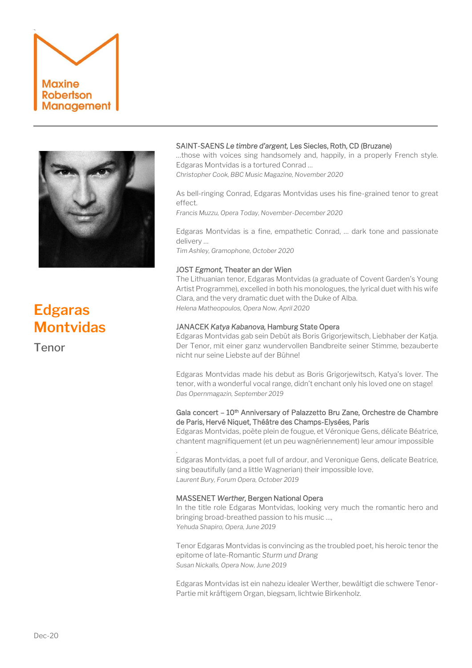



# **Edgaras Montvidas**

Tenor

# SAINT-SAENS *Le timbre d'argent,* Les Siecles, Roth, CD (Bruzane)

…those with voices sing handsomely and, happily, in a properly French style. Edgaras Montvidas is a tortured Conrad …

*Christopher Cook, BBC Music Magazine, November 2020*

As bell-ringing Conrad, Edgaras Montvidas uses his fine-grained tenor to great effect.

*Francis Muzzu, Opera Today, November-December 2020*

Edgaras Montvidas is a fine, empathetic Conrad, … dark tone and passionate delivery …

*Tim Ashley, Gramophone, October 2020*

# JOST *Egmont,* Theater an der Wien

The Lithuanian tenor, Edgaras Montvidas (a graduate of Covent Garden's Young Artist Programme), excelled in both his monologues, the lyrical duet with his wife Clara, and the very dramatic duet with the Duke of Alba. *Helena Matheopoulos, Opera Now, April 2020*

# JANACEK *Katya Kabanova,* Hamburg State Opera

Edgaras Montvidas gab sein Debüt als Boris Grigorjewitsch, Liebhaber der Katja. Der Tenor, mit einer ganz wundervollen Bandbreite seiner Stimme, bezauberte nicht nur seine Liebste auf der Bühne!

Edgaras Montvidas made his debut as Boris Grigorjewitsch, Katya's lover. The tenor, with a wonderful vocal range, didn't enchant only his loved one on stage! *Das Opernmagazin, September 2019*

# Gala concert - 10<sup>th</sup> Anniversary of Palazzetto Bru Zane, Orchestre de Chambre de Paris, Hervé Niquet, Théâtre des Champs-Elysées, Paris

Edgaras Montvidas, poète plein de fougue, et Véronique Gens, délicate Béatrice, chantent magnifiquement (et un peu wagnériennement) leur amour impossible

Edgaras Montvidas, a poet full of ardour, and Veronique Gens, delicate Beatrice, sing beautifully (and a little Wagnerian) their impossible love. *Laurent Bury, Forum Opera, October 2019*

# MASSENET *Werther,* Bergen National Opera

.

In the title role Edgaras Montvidas, looking very much the romantic hero and bringing broad-breathed passion to his music …, *Yehuda Shapiro, Opera, June 2019*

Tenor Edgaras Montvidas is convincing as the troubled poet, his heroic tenor the epitome of late-Romantic *Sturm und Drang Susan Nickalls, Opera Now, June 2019*

Edgaras Montvidas ist ein nahezu idealer Werther, bewältigt die schwere Tenor-Partie mit kräftigem Organ, biegsam, lichtwie Birkenholz.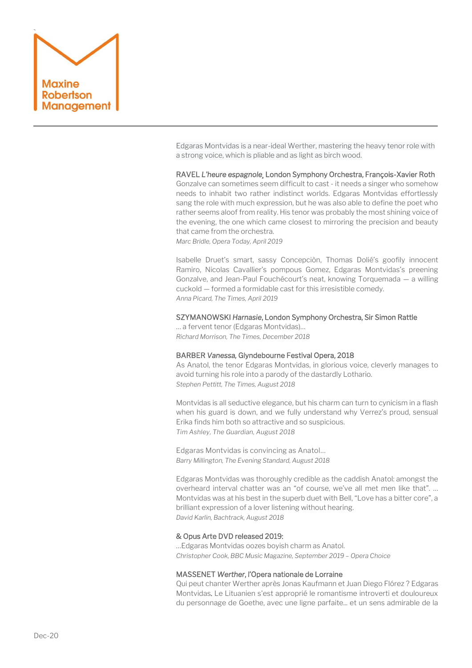

Edgaras Montvidas is a near-ideal Werther, mastering the heavy tenor role with a strong voice, which is pliable and as light as birch wood.

RAVEL *L'heure espagnole¸* London Symphony Orchestra, François-Xavier Roth

Gonzalve can sometimes seem difficult to cast - it needs a singer who somehow needs to inhabit two rather indistinct worlds. Edgaras Montvidas effortlessly sang the role with much expression, but he was also able to define the poet who rather seems aloof from reality. His tenor was probably the most shining voice of the evening, the one which came closest to mirroring the precision and beauty that came from the orchestra.

*Marc Bridle, Opera Today, April 2019*

Isabelle Druet's smart, sassy Concepciòn, Thomas Dolié's goofily innocent Ramiro, Nicolas Cavallier's pompous Gomez, Edgaras Montvidas's preening Gonzalve, and Jean-Paul Fouchécourt's neat, knowing Torquemada — a willing cuckold — formed a formidable cast for this irresistible comedy. *Anna Picard, The Times, April 2019*

### SZYMANOWSKI *Harnasie*, London Symphony Orchestra, Sir Simon Rattle

… a fervent tenor (Edgaras Montvidas)… *Richard Morrison, The Times, December 2018*

### BARBER *Vanessa,* Glyndebourne Festival Opera, 2018

As Anatol, the tenor Edgaras Montvidas, in glorious voice, cleverly manages to avoid turning his role into a parody of the dastardly Lothario. *Stephen Pettitt, The Times, August 2018*

Montvidas is all seductive elegance, but his charm can turn to cynicism in a flash when his guard is down, and we fully understand why Verrez's proud, sensual Erika finds him both so attractive and so suspicious. *Tim Ashley, The Guardian, August 2018*

Edgaras Montvidas is convincing as Anatol… *Barry Millington, The Evening Standard, August 2018*

Edgaras Montvidas was thoroughly credible as the caddish Anatol: amongst the overheard interval chatter was an "of course, we've all met men like that". … Montvidas was at his best in the superb duet with Bell, "Love has a bitter core", a brilliant expression of a lover listening without hearing. *David Karlin, Bachtrack, August 2018*

#### & Opus Arte DVD released 2019:

…Edgaras Montvidas oozes boyish charm as Anatol. *Christopher Cook, BBC Music Magazine, September 2019 – Opera Choice*

#### MASSENET *Werther*, l'Opera nationale de Lorraine

Qui peut chanter Werther après Jonas Kaufmann et Juan Diego Flórez ? Edgaras Montvidas. Le Lituanien s'est approprié le romantisme introverti et douloureux du personnage de Goethe, avec une ligne parfaite... et un sens admirable de la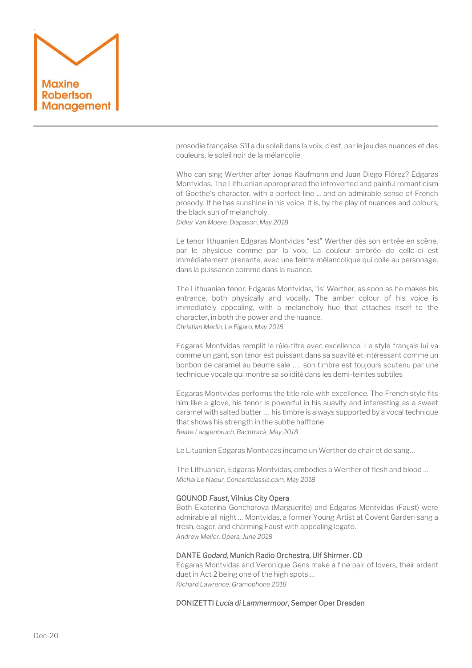

prosodie française. S'il a du soleil dans la voix, c'est, par le jeu des nuances et des couleurs, le soleil noir de la mélancolie.

Who can sing Werther after Jonas Kaufmann and Juan Diego Flórez? Edgaras Montvidas. The Lithuanian appropriated the introverted and painful romanticism of Goethe's character, with a perfect line ... and an admirable sense of French prosody. If he has sunshine in his voice, it is, by the play of nuances and colours, the black sun of melancholy. *Didier Van Moere, Diapason, May 2018*

Le tenor lithuanien Edgaras Montvidas "est" Werther dès son entrée en scène, par le physique comme par la voix. La couleur ambrée de celle-ci est immédiatement prenante, avec une teinte mélancolique qui colle au personage, dans la puissance comme dans la nuance.

The Lithuanian tenor, Edgaras Montvidas, "is' Werther, as soon as he makes his entrance, both physically and vocally. The amber colour of his voice is immediately appealing, with a melancholy hue that attaches itself to the character, in both the power and the nuance. *Christian Merlin, Le Figaro, May 2018*

Edgaras Montvidas remplit le rôle-titre avec excellence. Le style français lui va comme un gant, son ténor est puissant dans sa suavité et intéressant comme un bonbon de caramel au beurre sale … son timbre est toujours soutenu par une technique vocale qui montre sa solidité dans les demi-teintes subtiles

Edgaras Montvidas performs the title role with excellence. The French style fits him like a glove, his tenor is powerful in his suavity and interesting as a sweet caramel with salted butter … his timbre is always supported by a vocal technique that shows his strength in the subtle halftone *Beate Langenbruch, Bachtrack, May 2018*

Le Lituanien Edgaras Montvidas incarne un Werther de chair et de sang…

The Lithuanian, Edgaras Montvidas, embodies a Werther of flesh and blood … *Michel Le Naour, Concertclassic.com, May 2018*

#### GOUNOD *Faust*, Vilnius City Opera

Both Ekaterina Goncharova (Marguerite) and Edgaras Montvidas (Faust) were admirable all night … Montvidas, a former Young Artist at Covent Garden sang a fresh, eager, and charming Faust with appealing legato. *Andrew Mellor, Opera, June 2018*

#### DANTE *Godard,* Munich Radio Orchestra, Ulf Shirmer. CD

Edgaras Montvidas and Veronique Gens make a fine pair of lovers, their ardent duet in Act 2 being one of the high spots … *Richard Lawrence, Gramophone 2018*

DONIZETTI *Lucia di Lammermoor*, Semper Oper Dresden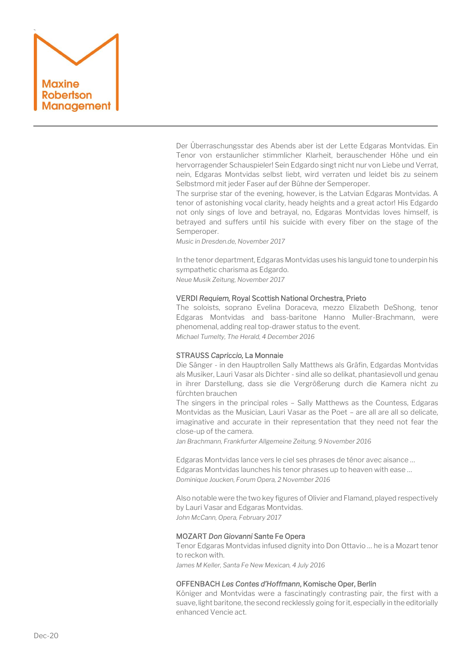

Der Überraschungsstar des Abends aber ist der Lette Edgaras Montvidas. Ein Tenor von erstaunlicher stimmlicher Klarheit, berauschender Höhe und ein hervorragender Schauspieler! Sein Edgardo singt nicht nur von Liebe und Verrat, nein, Edgaras Montvidas selbst liebt, wird verraten und leidet bis zu seinem Selbstmord mit jeder Faser auf der Bühne der Semperoper.

The surprise star of the evening, however, is the Latvian Edgaras Montvidas. A tenor of astonishing vocal clarity, heady heights and a great actor! His Edgardo not only sings of love and betrayal, no, Edgaras Montvidas loves himself, is betrayed and suffers until his suicide with every fiber on the stage of the Semperoper.

*Music in Dresden.de, November 2017*

In the tenor department, Edgaras Montvidas uses his languid tone to underpin his sympathetic charisma as Edgardo. *Neue Musik Zeitung, November 2017*

#### VERDI *Requiem,* Royal Scottish National Orchestra, Prieto

The soloists, soprano Evelina Doraceva, mezzo Elizabeth DeShong, tenor Edgaras Montvidas and bass-baritone Hanno Muller-Brachmann, were phenomenal, adding real top-drawer status to the event. *Michael Tumelty, The Herald, 4 December 2016*

#### STRAUSS *Capriccio,* La Monnaie

Die Sänger - in den Hauptrollen Sally Matthews als Gräfin, Edgardas Montvidas als Musiker, Lauri Vasar als Dichter - sind alle so delikat, phantasievoll und genau in ihrer Darstellung, dass sie die Vergrößerung durch die Kamera nicht zu fürchten brauchen

The singers in the principal roles – Sally Matthews as the Countess, Edgaras Montvidas as the Musician, Lauri Vasar as the Poet – are all are all so delicate, imaginative and accurate in their representation that they need not fear the close-up of the camera.

*Jan Brachmann, Frankfurter Allgemeine Zeitung, 9 November 2016*

Edgaras Montvidas lance vers le ciel ses phrases de ténor avec aisance … Edgaras Montvidas launches his tenor phrases up to heaven with ease … *Dominique Joucken, Forum Opera, 2 November 2016*

Also notable were the two key figures of Olivier and Flamand, played respectively by Lauri Vasar and Edgaras Montvidas. *John McCann, Opera, February 2017*

#### MOZART *Don Giovanni* Sante Fe Opera

Tenor Edgaras Montvidas infused dignity into Don Ottavio … he is a Mozart tenor to reckon with.

*James M Keller, Santa Fe New Mexican, 4 July 2016*

#### OFFENBACH *Les Contes d'Hoffmann*, Komische Oper, Berlin

Königer and Montvidas were a fascinatingly contrasting pair, the first with a suave, light baritone, the second recklessly going for it, especially in the editorially enhanced Vencie act.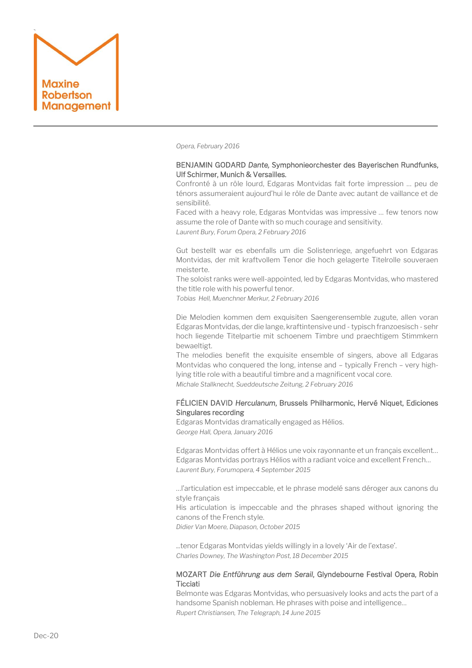

*Opera, February 2016*

# BENJAMIN GODARD *Dante,* Symphonieorchester des Bayerischen Rundfunks, Ulf Schirmer, Munich & Versailles.

Confronté à un rôle lourd, Edgaras Montvidas fait forte impression … peu de ténors assumeraient aujourd'hui le rôle de Dante avec autant de vaillance et de sensibilité.

Faced with a heavy role, Edgaras Montvidas was impressive … few tenors now assume the role of Dante with so much courage and sensitivity. *Laurent Bury, Forum Opera, 2 February 2016*

Gut bestellt war es ebenfalls um die Solistenriege, angefuehrt von Edgaras Montvidas, der mit kraftvollem Tenor die hoch gelagerte Titelrolle souveraen meisterte.

The soloist ranks were well-appointed, led by Edgaras Montvidas, who mastered the title role with his powerful tenor.

*Tobias Hell, Muenchner Merkur, 2 February 2016*

Die Melodien kommen dem exquisiten Saengerensemble zugute, allen voran Edgaras Montvidas, der die lange, kraftintensive und - typisch franzoesisch - sehr hoch liegende Titelpartie mit schoenem Timbre und praechtigem Stimmkern bewaeltigt.

The melodies benefit the exquisite ensemble of singers, above all Edgaras Montvidas who conquered the long, intense and – typically French – very highlying title role with a beautiful timbre and a magnificent vocal core. *Michale Stallknecht, Sueddeutsche Zeitung, 2 February 2016*

# FÉLICIEN DAVID *Herculanum*, Brussels Philharmonic, Hervé Niquet, Ediciones Singulares recording

Edgaras Montvidas dramatically engaged as Hélios. *George Hall, Opera, January 2016*

Edgaras Montvidas offert à Hélios une voix rayonnante et un français excellent… Edgaras Montvidas portrays Hélios with a radiant voice and excellent French… *Laurent Bury, Forumopera, 4 September 2015*

…l'articulation est impeccable, et le phrase modelé sans déroger aux canons du style français

His articulation is impeccable and the phrases shaped without ignoring the canons of the French style.

*Didier Van Moere, Diapason, October 2015*

...tenor Edgaras Montvidas yields willingly in a lovely 'Air de l'extase'. *Charles Downey, The Washington Post, 18 December 2015*

### MOZART *Die Entführung aus dem Serail*, Glyndebourne Festival Opera, Robin **Ticciati**

Belmonte was Edgaras Montvidas, who persuasively looks and acts the part of a handsome Spanish nobleman. He phrases with poise and intelligence… *Rupert Christiansen, The Telegraph, 14 June 2015*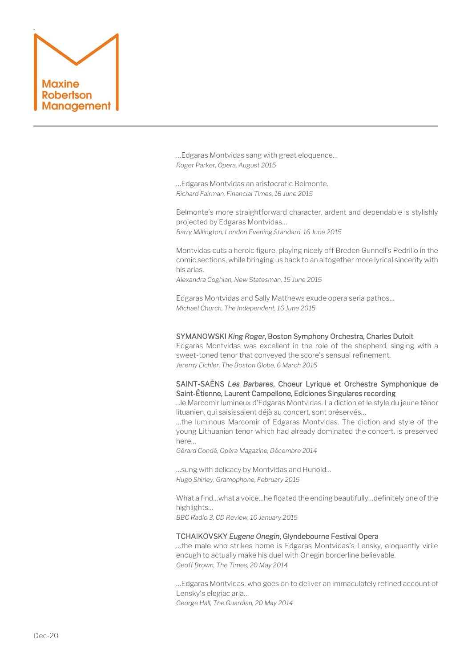

…Edgaras Montvidas sang with great eloquence… *Roger Parker, Opera, August 2015*

…Edgaras Montvidas an aristocratic Belmonte. *Richard Fairman, Financial Times, 16 June 2015*

Belmonte's more straightforward character, ardent and dependable is stylishly projected by Edgaras Montvidas… *Barry Millington, London Evening Standard, 16 June 2015*

Montvidas cuts a heroic figure, playing nicely off Breden Gunnell's Pedrillo in the comic sections, while bringing us back to an altogether more lyrical sincerity with his arias.

*Alexandra Coghlan, New Statesman, 15 June 2015*

Edgaras Montvidas and Sally Matthews exude opera seria pathos… *Michael Church, The Independent, 16 June 2015*

#### SYMANOWSKI *King Roger*, Boston Symphony Orchestra, Charles Dutoit

Edgaras Montvidas was excellent in the role of the shepherd, singing with a sweet-toned tenor that conveyed the score's sensual refinement. *Jeremy Eichler, The Boston Globe, 6 March 2015*

# SAINT-SAËNS *Les Barbares*, Choeur Lyrique et Orchestre Symphonique de Saint-Étienne, Laurent Campellone, Ediciones Singulares recording

...le Marcomir lumineux d'Edgaras Montvidas. La diction et le style du jeune ténor lituanien, qui saisissaient déjà au concert, sont préservés…

…the luminous Marcomir of Edgaras Montvidas. The diction and style of the young Lithuanian tenor which had already dominated the concert, is preserved here…

*Gérard Condé, Opéra Magazine, Décembre 2014*

…sung with delicacy by Montvidas and Hunold… *Hugo Shirley, Gramophone, February 2015*

What a find…what a voice…he floated the ending beautifully…definitely one of the highlights…

*BBC Radio 3, CD Review, 10 January 2015*

#### TCHAIKOVSKY *Eugene Onegin*, Glyndebourne Festival Opera

…the male who strikes home is Edgaras Montvidas's Lensky, eloquently virile enough to actually make his duel with Onegin borderline believable. *Geoff Brown, The Times, 20 May 2014*

…[Edgaras Montvidas,](http://www.edgarasmontvidas.com/) who goes on to deliver an immaculately refined account of Lensky's elegiac aria… *George Hall, The Guardian, 20 May 2014*

Dec-20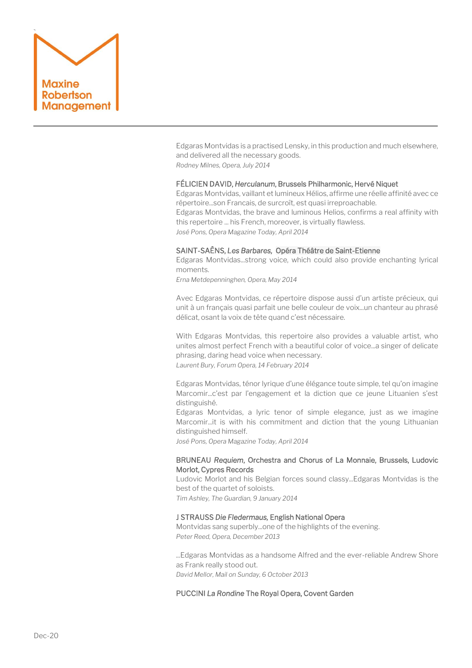

Edgaras Montvidas is a practised Lensky, in this production and much elsewhere, and delivered all the necessary goods. *Rodney Milnes, Opera, July 2014*

#### FÉLICIEN DAVID, *Herculanum*, Brussels Philharmonic, Hervé Niquet

Edgaras Montvidas, vaillant et lumineux Hélios, affirme une réelle affinité avec ce répertoire...son Francais, de surcroît, est quasi irreproachable. Edgaras Montvidas, the brave and luminous Helios, confirms a real affinity with this repertoire ... his French, moreover, is virtually flawless. *José Pons, Opera Magazine Today, April 2014*

#### SAINT-SAËNS, *Les Barbares,* [Opéra Théâtre de Saint-Etienne](http://maxine.webhop.net/sugar/index.php?module=mrm_event&action=DetailView&record=cc4e7d0f-5557-253d-7a58-51767210f5c5&parent_module=mrm_period&parent_id=236f0f79-1026-927f-3e59-51502d6e13fe&return_module=mrm_period&return_id=236f0f79-1026-927f-3e59-51502d6e13fe&return_action=DetailView)

Edgaras Montvidas...strong voice, which could also provide enchanting lyrical moments.

*Erna Metdepenninghen, Opera, May 2014*

Avec Edgaras Montvidas, ce répertoire dispose aussi d'un artiste précieux, qui unit à un français quasi parfait une belle couleur de voix...un chanteur au phrasé délicat, osant la voix de tête quand c'est nécessaire.

With Edgaras Montvidas, this repertoire also provides a valuable artist, who unites almost perfect French with a beautiful color of voice...a singer of delicate phrasing, daring head voice when necessary. *Laurent Bury, Forum Opera, 14 February 2014*

Edgaras Montvidas, ténor lyrique d'une élégance toute simple, tel qu'on imagine Marcomir...c'est par l'engagement et la diction que ce jeune Lituanien s'est distinguishé.

Edgaras Montvidas, a lyric tenor of simple elegance, just as we imagine Marcomir...it is with his commitment and diction that the young Lithuanian distinguished himself.

*José Pons, Opera Magazine Today, April 2014*

#### BRUNEAU *Requiem*, Orchestra and Chorus of La Monnaie, Brussels, Ludovic Morlot, Cypres Records

Ludovic Morlot and his Belgian forces sound classy...Edgaras Montvidas is the best of the quartet of soloists.

*Tim Ashley, The Guardian, 9 January 2014*

# J STRAUSS *Die Fledermaus,* English National Opera

Montvidas sang superbly...one of the highlights of the evening. *Peter Reed, Opera, December 2013*

...Edgaras Montvidas as a handsome Alfred and the ever-reliable Andrew Shore as Frank really stood out. *David Mellor, Mail on Sunday, 6 October 2013*

PUCCINI *La Rondine* The Royal Opera, Covent Garden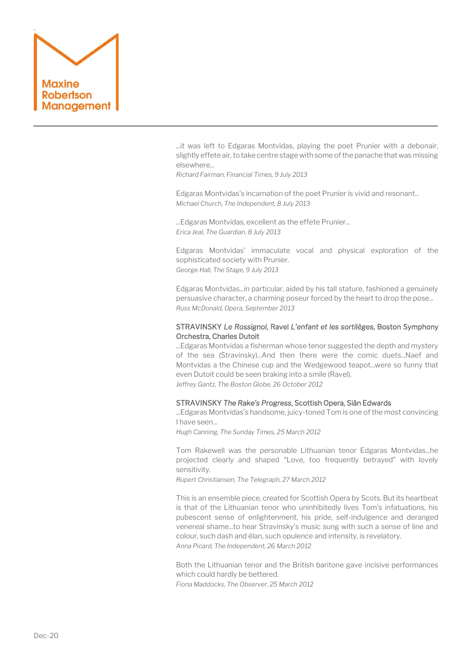

...it was left to Edgaras Montvidas, playing the poet Prunier with a debonair, slightly effete air, to take centre stage with some of the panache that was missing elsewhere...

*Richard Fairman, Financial Times, 9 July 2013*

Edgaras Montvidas's incarnation of the poet Prunier is vivid and resonant... *Michael Church, The Independent, 8 July 2013*

...Edgaras Montvidas, excellent as the effete Prunier... *Erica Jeal, The Guardian, 8 July 2013*

Edgaras Montvidas' immaculate vocal and physical exploration of the sophisticated society with Prunier. *George Hall, The Stage, 9 July 2013*

Edgaras Montvidas...in particular, aided by his tall stature, fashioned a genuinely persuasive character, a charming poseur forced by the heart to drop the pose... *Russ McDonald, Opera, September 2013*

# STRAVINSKY *Le Rossignol*, Ravel *L'enfant et les sortilèges*, Boston Symphony Orchestra, Charles Dutoit

...Edgaras Montvidas a fisherman whose tenor suggested the depth and mystery of the sea (Stravinsky)...And then there were the comic duets...Naef and Montvidas a the Chinese cup and the Wedgewood teapot...were so funny that even Dutoit could be seen braking into a smile (Ravel). *Jeffrey Gantz, The Boston Globe, 26 October 2012*

# STRAVINSKY *The Rake's Progress*, Scottish Opera, Siân Edwards

...Edgaras Montvidas's handsome, juicy-toned Tom is one of the most convincing I have seen...

*Hugh Canning, The Sunday Times, 25 March 2012*

Tom Rakewell was the personable Lithuanian tenor Edgaras Montvidas...he projected clearly and shaped "Love, too frequently betrayed" with lovely sensitivity.

*Rupert Christiansen, The Telegraph, 27 March 2012*

This is an ensemble piece, created for Scottish Opera by Scots. But its heartbeat is that of the Lithuanian tenor who uninhibitedly lives Tom's infatuations, his pubescent sense of enlightenment, his pride, self-indulgence and deranged venereal shame...to hear Stravinsky's music sung with such a sense of line and colour, such dash and élan, such opulence and intensity, is revelatory. *Anna Picard, The Independent, 26 March 2012*

Both the Lithuanian tenor and the British baritone gave incisive performances which could hardly be bettered. *Fiona Maddocks, The Observer, 25 March 2012*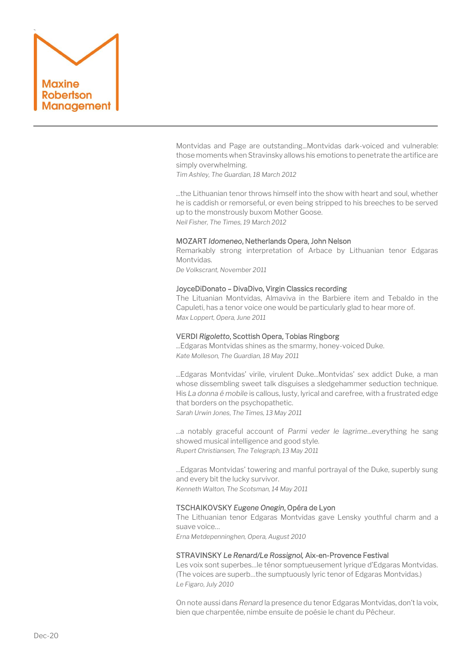

Montvidas and Page are outstanding...Montvidas dark-voiced and vulnerable: those moments when Stravinsky allows his emotions to penetrate the artifice are simply overwhelming.

*Tim Ashley, The Guardian, 18 March 2012*

...the Lithuanian tenor throws himself into the show with heart and soul, whether he is caddish or remorseful, or even being stripped to his breeches to be served up to the monstrously buxom Mother Goose. *Neil Fisher, The Times, 19 March 2012*

### MOZART *Idomeneo*, Netherlands Opera, John Nelson

Remarkably strong interpretation of Arbace by Lithuanian tenor Edgaras Montvidas.

*De Volkscrant, November 2011*

#### JoyceDiDonato – DivaDivo, Virgin Classics recording

The Lituanian Montvidas, Almaviva in the Barbiere item and Tebaldo in the Capuleti, has a tenor voice one would be particularly glad to hear more of. *Max Loppert, Opera, June 2011*

## VERDI *Rigoletto*, Scottish Opera, Tobias Ringborg

...Edgaras Montvidas shines as the smarmy, honey-voiced Duke. *Kate Molleson, The Guardian, 18 May 2011*

...Edgaras Montvidas' virile, virulent Duke...Montvidas' sex addict Duke, a man whose dissembling sweet talk disguises a sledgehammer seduction technique. His *La donna é mobile* is callous, lusty, lyrical and carefree, with a frustrated edge that borders on the psychopathetic. *Sarah Urwin Jones, The Times, 13 May 2011*

...a notably graceful account of *Parmi veder le lagrime*...everything he sang showed musical intelligence and good style. *Rupert Christiansen, The Telegraph, 13 May 2011*

...Edgaras Montvidas' towering and manful portrayal of the Duke, superbly sung and every bit the lucky survivor. *Kenneth Walton, The Scotsman, 14 May 2011*

# TSCHAIKOVSKY *Eugene Onegin*, Opéra de Lyon

The Lithuanian tenor Edgaras Montvidas gave Lensky youthful charm and a suave voice…

*Erna Metdepenninghen, Opera, August 2010*

#### STRAVINSKY *Le Renard/Le Rossignol,* Aix-en-Provence Festival

Les voix sont superbes…le ténor somptueusement lyrique d'Edgaras Montvidas. (The voices are superb…the sumptuously lyric tenor of Edgaras Montvidas.) *Le Figaro, July 2010*

On note aussi dans *Renard* la presence du tenor Edgaras Montvidas, don't la voix, bien que charpentée, nimbe ensuite de poésie le chant du Pêcheur.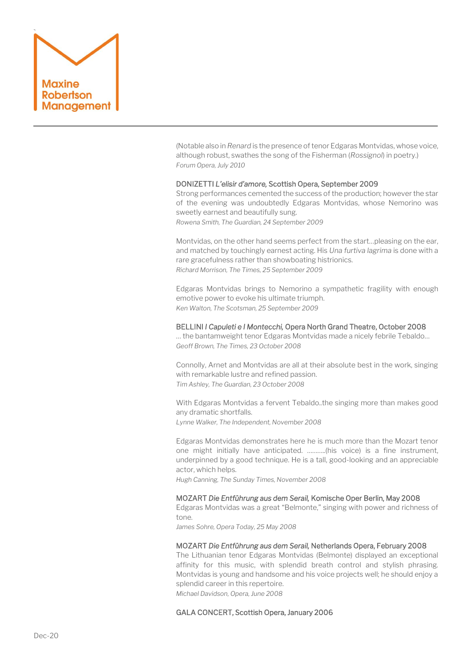

(Notable also in *Renard* is the presence of tenor Edgaras Montvidas, whose voice, although robust, swathes the song of the Fisherman (*Rossignol*) in poetry.) *Forum Opera, July 2010*

#### DONIZETTI *L'elisir d'amore,* Scottish Opera, September 2009

Strong performances cemented the success of the production; however the star of the evening was undoubtedly Edgaras Montvidas, whose Nemorino was sweetly earnest and beautifully sung. *Rowena Smith, The Guardian, 24 September 2009*

Montvidas, on the other hand seems perfect from the start…pleasing on the ear, and matched by touchingly earnest acting. His *Una furtiva lagrima* is done with a rare gracefulness rather than showboating histrionics. *Richard Morrison, The Times, 25 September 2009*

Edgaras Montvidas brings to Nemorino a sympathetic fragility with enough emotive power to evoke his ultimate triumph. *Ken Walton, The Scotsman, 25 September 2009*

#### BELLINI *I Capuleti e I Montecchi,* Opera North Grand Theatre, October 2008

… the bantamweight tenor Edgaras Montvidas made a nicely febrile Tebaldo… *Geoff Brown, The Times, 23 October 2008*

Connolly, Arnet and Montvidas are all at their absolute best in the work, singing with remarkable lustre and refined passion. *Tim Ashley, The Guardian, 23 October 2008*

With Edgaras Montvidas a fervent Tebaldo..the singing more than makes good any dramatic shortfalls.

*Lynne Walker, The Independent, November 2008*

Edgaras Montvidas demonstrates here he is much more than the Mozart tenor one might initially have anticipated. ………..(his voice) is a fine instrument, underpinned by a good technique. He is a tall, good-looking and an appreciable actor, which helps.

*Hugh Canning, The Sunday Times, November 2008*

#### MOZART *Die Entführung aus dem Serail,* Komische Oper Berlin, May 2008

Edgaras Montvidas was a great "Belmonte," singing with power and richness of tone.

*James Sohre, Opera Today, 25 May 2008*

#### MOZART *Die Entführung aus dem Serail,* Netherlands Opera, February 2008

The Lithuanian tenor Edgaras Montvidas (Belmonte) displayed an exceptional affinity for this music, with splendid breath control and stylish phrasing. Montvidas is young and handsome and his voice projects well; he should enjoy a splendid career in this repertoire. *Michael Davidson, Opera, June 2008*

GALA CONCERT, Scottish Opera, January 2006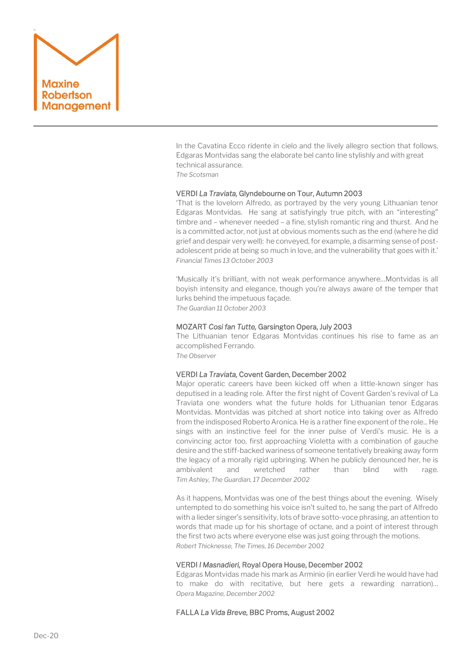

In the Cavatina Ecco ridente in cielo and the lively allegro section that follows, Edgaras Montvidas sang the elaborate bel canto line stylishly and with great technical assurance.

*The Scotsman*

#### VERDI *La Traviata,* Glyndebourne on Tour, Autumn 2003

'That is the lovelorn Alfredo, as portrayed by the very young Lithuanian tenor Edgaras Montvidas. He sang at satisfyingly true pitch, with an "interesting" timbre and – whenever needed – a fine, stylish romantic ring and thurst. And he is a committed actor, not just at obvious moments such as the end (where he did grief and despair very well): he conveyed, for example, a disarming sense of postadolescent pride at being so much in love, and the vulnerability that goes with it.' *Financial Times 13 October 2003*

'Musically it's brilliant, with not weak performance anywhere…Montvidas is all boyish intensity and elegance, though you're always aware of the temper that lurks behind the impetuous façade. *The Guardian 11 October 2003*

## MOZART *Cosi fan Tutte,* Garsington Opera, July 2003

The Lithuanian tenor Edgaras Montvidas continues his rise to fame as an accomplished Ferrando.

*The Observer*

#### VERDI *La Traviata,* Covent Garden, December 2002

Major operatic careers have been kicked off when a little-known singer has deputised in a leading role. After the first night of Covent Garden's revival of La Traviata one wonders what the future holds for Lithuanian tenor Edgaras Montvidas. Montvidas was pitched at short notice into taking over as Alfredo from the indisposed Roberto Aronica. He is a rather fine exponent of the role... He sings with an instinctive feel for the inner pulse of Verdi's music. He is a convincing actor too, first approaching Violetta with a combination of gauche desire and the stiff-backed wariness of someone tentatively breaking away form the legacy of a morally rigid upbringing. When he publicly denounced her, he is ambivalent and wretched rather than blind with rage. *Tim Ashley, The Guardian, 1*7 *December 2002*

As it happens, Montvidas was one of the best things about the evening. Wisely untempted to do something his voice isn't suited to, he sang the part of Alfredo with a lieder singer's sensitivity, lots of brave sotto-voce phrasing, an attention to words that made up for his shortage of octane, and a point of interest through the first two acts where everyone else was just going through the motions. *Robert Thicknesse, The Times, 16 December* 2002

#### VERDI *I Masnadieri,* Royal Opera House, December 2002

Edgaras Montvidas made his mark as Arminio (in earlier Verdi he would have had to make do with recitative, but here gets a rewarding narration)… *Opera Magazine, December 2002*

## FALLA *La Vida Breve,* BBC Proms, August 2002